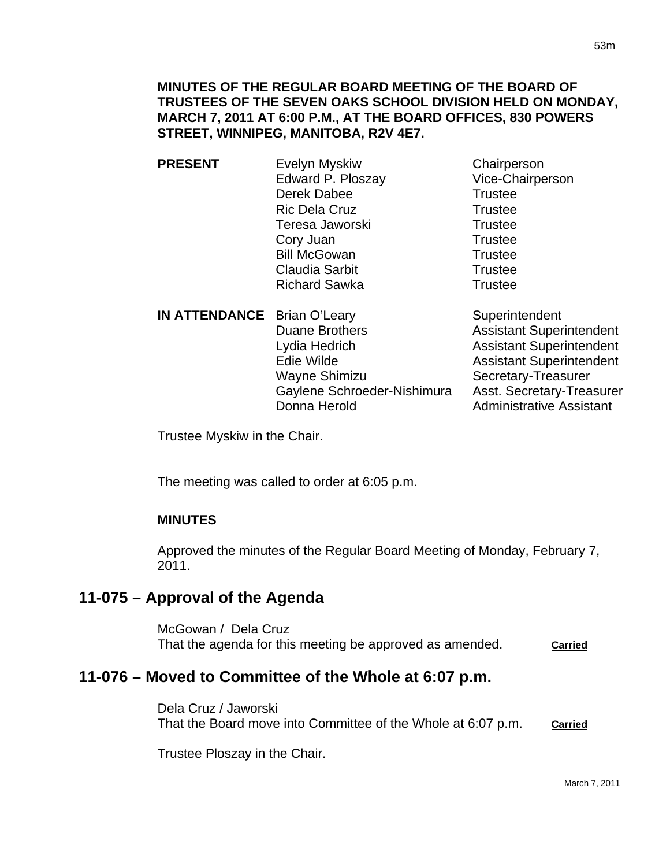- **PRESENT** Evelyn Myskiw Chairperson Edward P. Ploszay Vice-Chairperson Derek Dabee Trustee Ric Dela Cruz Trustee Teresa Jaworski **Trustee** Cory Juan Trustee Bill McGowan Trustee Claudia Sarbit **Trustee** Richard Sawka Trustee
- **IN ATTENDANCE** Brian O'Leary Superintendent Duane Brothers **Assistant Superintendent** Lydia Hedrich **Assistant Superintendent** Edie Wilde **Assistant Superintendent** Wayne Shimizu Secretary-Treasurer Gaylene Schroeder-Nishimura Asst. Secretary-Treasurer Donna Herold **Administrative Assistant**

Trustee Myskiw in the Chair.

The meeting was called to order at 6:05 p.m.

# **MINUTES**

 $\overline{a}$ 

Approved the minutes of the Regular Board Meeting of Monday, February 7, 2011.

# **11-075 – Approval of the Agenda**

McGowan / Dela Cruz That the agenda for this meeting be approved as amended. **Carried**

# **11-076 – Moved to Committee of the Whole at 6:07 p.m.**

Dela Cruz / Jaworski That the Board move into Committee of the Whole at 6:07 p.m. **Carried**

Trustee Ploszay in the Chair.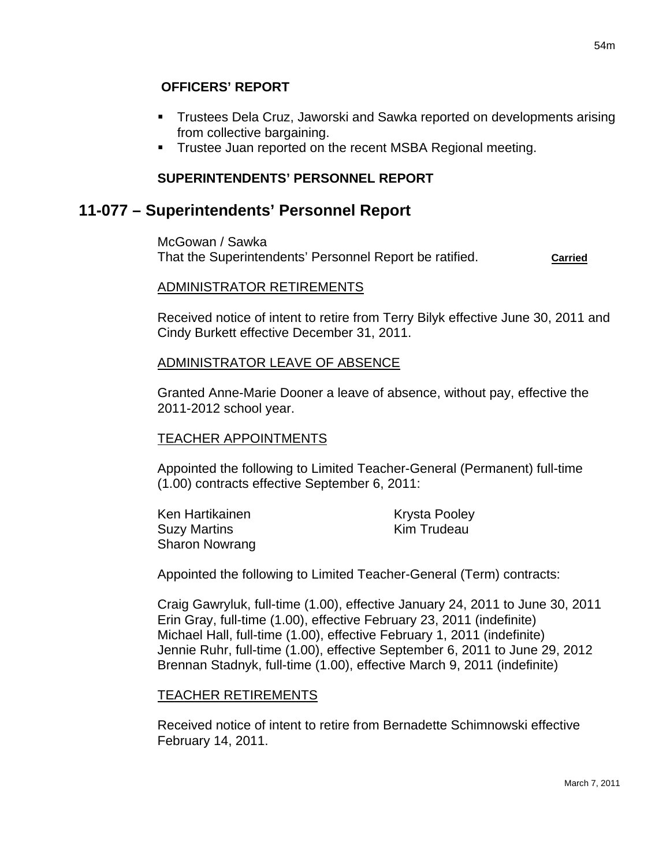### **OFFICERS' REPORT**

- Trustees Dela Cruz, Jaworski and Sawka reported on developments arising from collective bargaining.
- **Trustee Juan reported on the recent MSBA Regional meeting.**

## **SUPERINTENDENTS' PERSONNEL REPORT**

## **11-077 – Superintendents' Personnel Report**

McGowan / Sawka That the Superintendents' Personnel Report be ratified. **Carried**

#### ADMINISTRATOR RETIREMENTS

Received notice of intent to retire from Terry Bilyk effective June 30, 2011 and Cindy Burkett effective December 31, 2011.

#### ADMINISTRATOR LEAVE OF ABSENCE

Granted Anne-Marie Dooner a leave of absence, without pay, effective the 2011-2012 school year.

### TEACHER APPOINTMENTS

Appointed the following to Limited Teacher-General (Permanent) full-time (1.00) contracts effective September 6, 2011:

Ken Hartikainen Krysta Pooley Suzy Martins **Kim Trudeau** Sharon Nowrang

Appointed the following to Limited Teacher-General (Term) contracts:

Craig Gawryluk, full-time (1.00), effective January 24, 2011 to June 30, 2011 Erin Gray, full-time (1.00), effective February 23, 2011 (indefinite) Michael Hall, full-time (1.00), effective February 1, 2011 (indefinite) Jennie Ruhr, full-time (1.00), effective September 6, 2011 to June 29, 2012 Brennan Stadnyk, full-time (1.00), effective March 9, 2011 (indefinite)

#### TEACHER RETIREMENTS

Received notice of intent to retire from Bernadette Schimnowski effective February 14, 2011.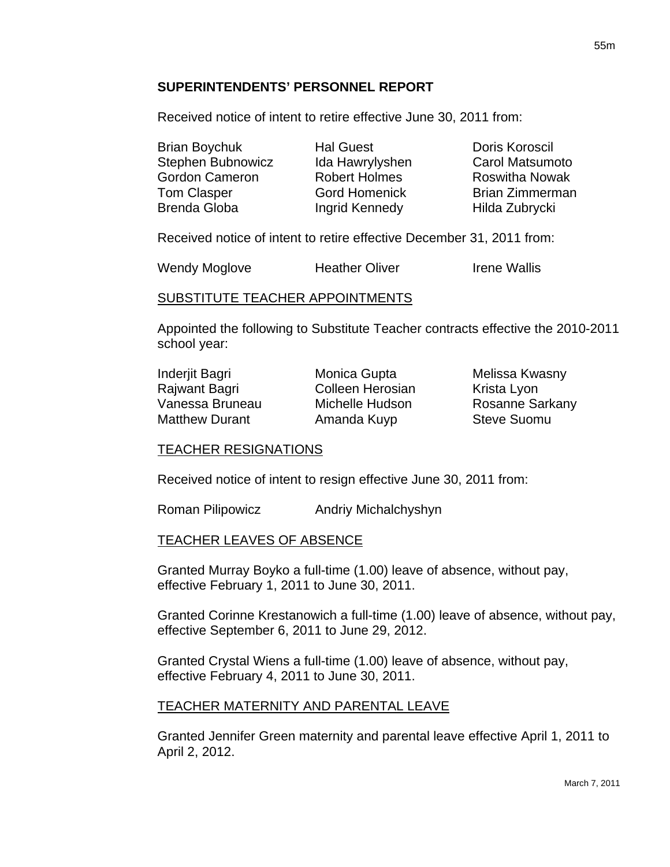### **SUPERINTENDENTS' PERSONNEL REPORT**

Received notice of intent to retire effective June 30, 2011 from:

| <b>Brian Boychuk</b>  | <b>Hal Guest</b>     | Doris Koroscil         |
|-----------------------|----------------------|------------------------|
| Stephen Bubnowicz     | Ida Hawrylyshen      | <b>Carol Matsumoto</b> |
| <b>Gordon Cameron</b> | <b>Robert Holmes</b> | <b>Roswitha Nowak</b>  |
| <b>Tom Clasper</b>    | <b>Gord Homenick</b> | <b>Brian Zimmerman</b> |
| Brenda Globa          | Ingrid Kennedy       | Hilda Zubrycki         |

Received notice of intent to retire effective December 31, 2011 from:

Wendy Moglove **Heather Oliver** Irene Wallis

#### SUBSTITUTE TEACHER APPOINTMENTS

Appointed the following to Substitute Teacher contracts effective the 2010-2011 school year:

| Inderjit Bagri        |  |  |
|-----------------------|--|--|
| Rajwant Bagri         |  |  |
| Vanessa Bruneau       |  |  |
| <b>Matthew Durant</b> |  |  |

Colleen Herosian Krista Lyon Amanda Kuyp Steve Suomu

Monica Gupta **Melissa Kwasny** Michelle Hudson Rosanne Sarkany

#### TEACHER RESIGNATIONS

Received notice of intent to resign effective June 30, 2011 from:

Roman Pilipowicz Andriy Michalchyshyn

#### TEACHER LEAVES OF ABSENCE

Granted Murray Boyko a full-time (1.00) leave of absence, without pay, effective February 1, 2011 to June 30, 2011.

Granted Corinne Krestanowich a full-time (1.00) leave of absence, without pay, effective September 6, 2011 to June 29, 2012.

Granted Crystal Wiens a full-time (1.00) leave of absence, without pay, effective February 4, 2011 to June 30, 2011.

#### TEACHER MATERNITY AND PARENTAL LEAVE

Granted Jennifer Green maternity and parental leave effective April 1, 2011 to April 2, 2012.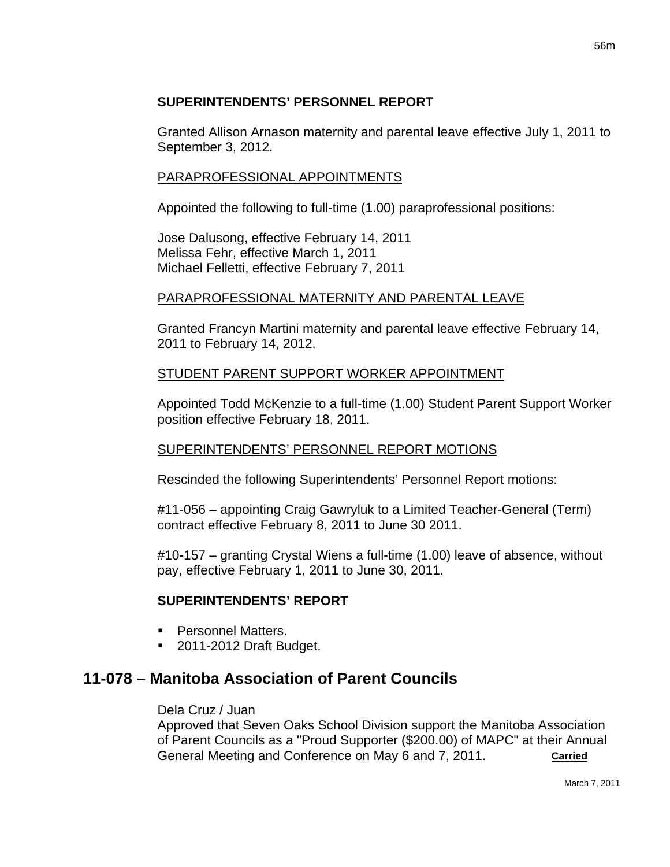## **SUPERINTENDENTS' PERSONNEL REPORT**

Granted Allison Arnason maternity and parental leave effective July 1, 2011 to September 3, 2012.

### PARAPROFESSIONAL APPOINTMENTS

Appointed the following to full-time (1.00) paraprofessional positions:

Jose Dalusong, effective February 14, 2011 Melissa Fehr, effective March 1, 2011 Michael Felletti, effective February 7, 2011

## PARAPROFESSIONAL MATERNITY AND PARENTAL LEAVE

Granted Francyn Martini maternity and parental leave effective February 14, 2011 to February 14, 2012.

## STUDENT PARENT SUPPORT WORKER APPOINTMENT

Appointed Todd McKenzie to a full-time (1.00) Student Parent Support Worker position effective February 18, 2011.

### SUPERINTENDENTS' PERSONNEL REPORT MOTIONS

Rescinded the following Superintendents' Personnel Report motions:

#11-056 – appointing Craig Gawryluk to a Limited Teacher-General (Term) contract effective February 8, 2011 to June 30 2011.

#10-157 – granting Crystal Wiens a full-time (1.00) leave of absence, without pay, effective February 1, 2011 to June 30, 2011.

## **SUPERINTENDENTS' REPORT**

- **Personnel Matters.**
- 2011-2012 Draft Budget.

# **11-078 – Manitoba Association of Parent Councils**

#### Dela Cruz / Juan

Approved that Seven Oaks School Division support the Manitoba Association of Parent Councils as a "Proud Supporter (\$200.00) of MAPC" at their Annual General Meeting and Conference on May 6 and 7, 2011. **Carried**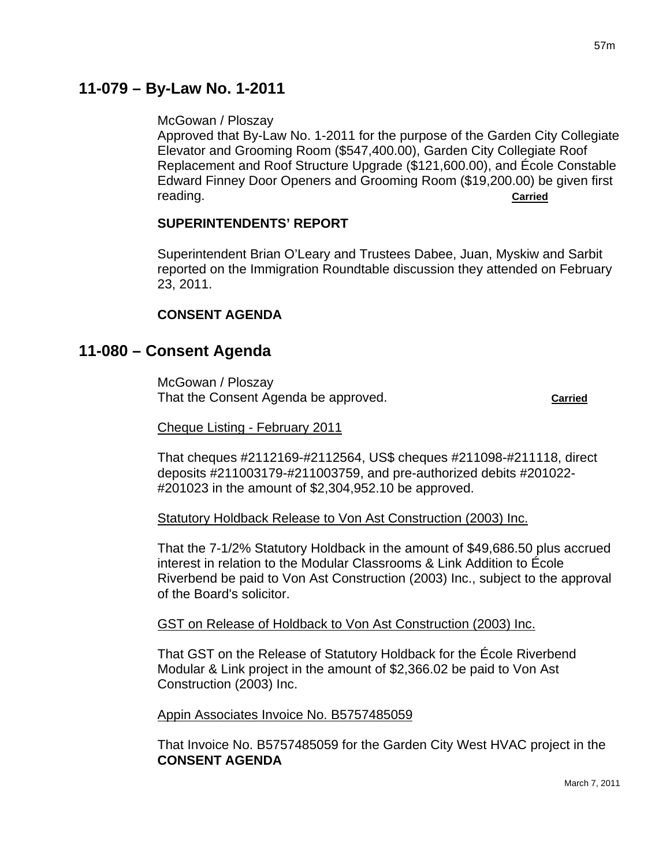# **11-079 – By-Law No. 1-2011**

#### McGowan / Ploszay

Approved that By-Law No. 1-2011 for the purpose of the Garden City Collegiate Elevator and Grooming Room (\$547,400.00), Garden City Collegiate Roof Replacement and Roof Structure Upgrade (\$121,600.00), and École Constable Edward Finney Door Openers and Grooming Room (\$19,200.00) be given first reading. **Carried**

#### **SUPERINTENDENTS' REPORT**

Superintendent Brian O'Leary and Trustees Dabee, Juan, Myskiw and Sarbit reported on the Immigration Roundtable discussion they attended on February 23, 2011.

#### **CONSENT AGENDA**

## **11-080 – Consent Agenda**

McGowan / Ploszay That the Consent Agenda be approved. **Carried**

Cheque Listing - February 2011

That cheques #2112169-#2112564, US\$ cheques #211098-#211118, direct deposits #211003179-#211003759, and pre-authorized debits #201022- #201023 in the amount of \$2,304,952.10 be approved.

Statutory Holdback Release to Von Ast Construction (2003) Inc.

That the 7-1/2% Statutory Holdback in the amount of \$49,686.50 plus accrued interest in relation to the Modular Classrooms & Link Addition to École Riverbend be paid to Von Ast Construction (2003) Inc., subject to the approval of the Board's solicitor.

#### GST on Release of Holdback to Von Ast Construction (2003) Inc.

That GST on the Release of Statutory Holdback for the École Riverbend Modular & Link project in the amount of \$2,366.02 be paid to Von Ast Construction (2003) Inc.

Appin Associates Invoice No. B5757485059

That Invoice No. B5757485059 for the Garden City West HVAC project in the **CONSENT AGENDA**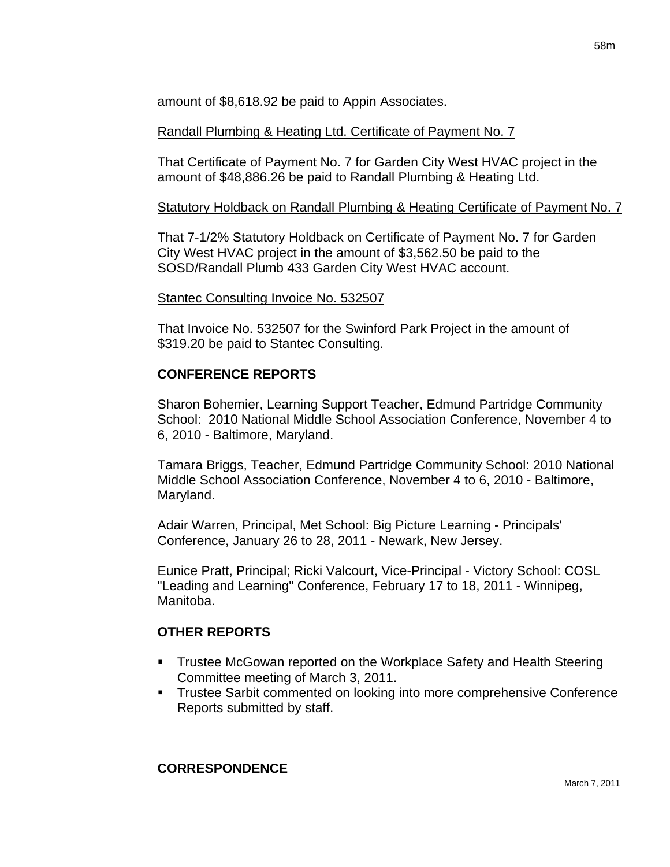amount of \$8,618.92 be paid to Appin Associates.

Randall Plumbing & Heating Ltd. Certificate of Payment No. 7

That Certificate of Payment No. 7 for Garden City West HVAC project in the amount of \$48,886.26 be paid to Randall Plumbing & Heating Ltd.

## Statutory Holdback on Randall Plumbing & Heating Certificate of Payment No. 7

That 7-1/2% Statutory Holdback on Certificate of Payment No. 7 for Garden City West HVAC project in the amount of \$3,562.50 be paid to the SOSD/Randall Plumb 433 Garden City West HVAC account.

### Stantec Consulting Invoice No. 532507

That Invoice No. 532507 for the Swinford Park Project in the amount of \$319.20 be paid to Stantec Consulting.

## **CONFERENCE REPORTS**

Sharon Bohemier, Learning Support Teacher, Edmund Partridge Community School: 2010 National Middle School Association Conference, November 4 to 6, 2010 - Baltimore, Maryland.

Tamara Briggs, Teacher, Edmund Partridge Community School: 2010 National Middle School Association Conference, November 4 to 6, 2010 - Baltimore, Maryland.

Adair Warren, Principal, Met School: Big Picture Learning - Principals' Conference, January 26 to 28, 2011 - Newark, New Jersey.

Eunice Pratt, Principal; Ricki Valcourt, Vice-Principal - Victory School: COSL "Leading and Learning" Conference, February 17 to 18, 2011 - Winnipeg, Manitoba.

## **OTHER REPORTS**

- **Trustee McGowan reported on the Workplace Safety and Health Steering** Committee meeting of March 3, 2011.
- **Trustee Sarbit commented on looking into more comprehensive Conference** Reports submitted by staff.

### **CORRESPONDENCE**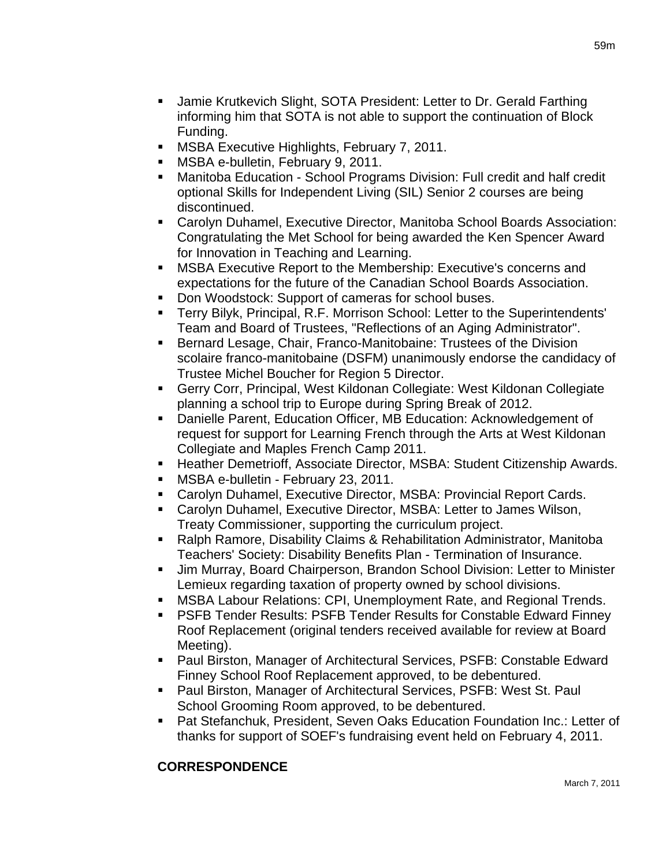- Jamie Krutkevich Slight, SOTA President: Letter to Dr. Gerald Farthing informing him that SOTA is not able to support the continuation of Block Funding.
- **MSBA Executive Highlights, February 7, 2011.**
- MSBA e-bulletin, February 9, 2011.
- Manitoba Education School Programs Division: Full credit and half credit optional Skills for Independent Living (SIL) Senior 2 courses are being discontinued.
- Carolyn Duhamel, Executive Director, Manitoba School Boards Association: Congratulating the Met School for being awarded the Ken Spencer Award for Innovation in Teaching and Learning.
- MSBA Executive Report to the Membership: Executive's concerns and expectations for the future of the Canadian School Boards Association.
- Don Woodstock: Support of cameras for school buses.
- Terry Bilyk, Principal, R.F. Morrison School: Letter to the Superintendents' Team and Board of Trustees, "Reflections of an Aging Administrator".
- **Bernard Lesage, Chair, Franco-Manitobaine: Trustees of the Division** scolaire franco-manitobaine (DSFM) unanimously endorse the candidacy of Trustee Michel Boucher for Region 5 Director.
- Gerry Corr, Principal, West Kildonan Collegiate: West Kildonan Collegiate planning a school trip to Europe during Spring Break of 2012.
- Danielle Parent, Education Officer, MB Education: Acknowledgement of request for support for Learning French through the Arts at West Kildonan Collegiate and Maples French Camp 2011.
- **Heather Demetrioff, Associate Director, MSBA: Student Citizenship Awards.**
- **MSBA e-bulletin February 23, 2011.**
- Carolyn Duhamel, Executive Director, MSBA: Provincial Report Cards.
- Carolyn Duhamel, Executive Director, MSBA: Letter to James Wilson, Treaty Commissioner, supporting the curriculum project.
- Ralph Ramore, Disability Claims & Rehabilitation Administrator, Manitoba Teachers' Society: Disability Benefits Plan - Termination of Insurance.
- Jim Murray, Board Chairperson, Brandon School Division: Letter to Minister Lemieux regarding taxation of property owned by school divisions.
- MSBA Labour Relations: CPI, Unemployment Rate, and Regional Trends.
- PSFB Tender Results: PSFB Tender Results for Constable Edward Finney Roof Replacement (original tenders received available for review at Board Meeting).
- Paul Birston, Manager of Architectural Services, PSFB: Constable Edward Finney School Roof Replacement approved, to be debentured.
- Paul Birston, Manager of Architectural Services, PSFB: West St. Paul School Grooming Room approved, to be debentured.
- Pat Stefanchuk, President, Seven Oaks Education Foundation Inc.: Letter of thanks for support of SOEF's fundraising event held on February 4, 2011.

## **CORRESPONDENCE**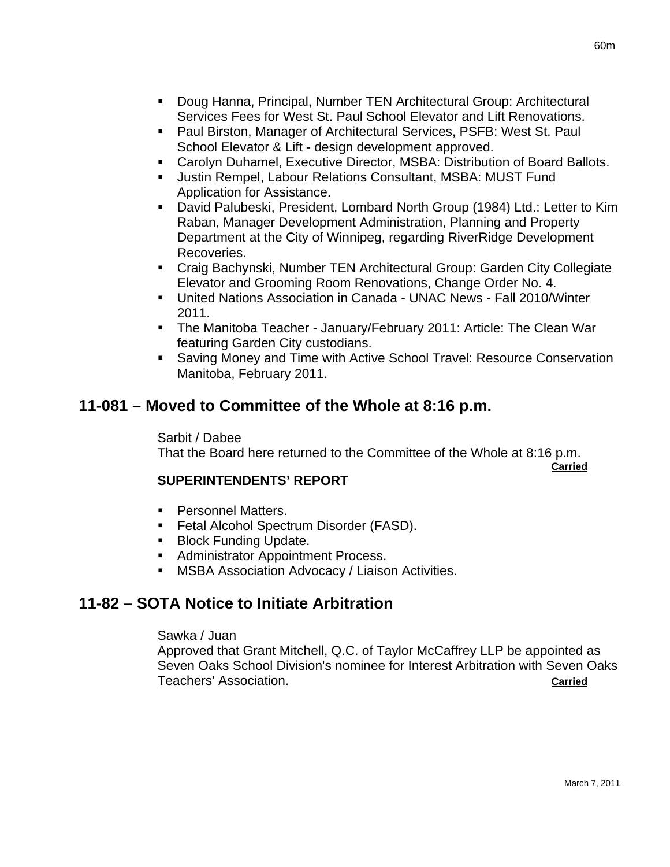- Doug Hanna, Principal, Number TEN Architectural Group: Architectural Services Fees for West St. Paul School Elevator and Lift Renovations.
- Paul Birston, Manager of Architectural Services, PSFB: West St. Paul School Elevator & Lift - design development approved.
- Carolyn Duhamel, Executive Director, MSBA: Distribution of Board Ballots.
- Justin Rempel, Labour Relations Consultant, MSBA: MUST Fund Application for Assistance.
- David Palubeski, President, Lombard North Group (1984) Ltd.: Letter to Kim Raban, Manager Development Administration, Planning and Property Department at the City of Winnipeg, regarding RiverRidge Development Recoveries.
- Craig Bachynski, Number TEN Architectural Group: Garden City Collegiate Elevator and Grooming Room Renovations, Change Order No. 4.
- United Nations Association in Canada UNAC News Fall 2010/Winter 2011.
- The Manitoba Teacher January/February 2011: Article: The Clean War featuring Garden City custodians.
- Saving Money and Time with Active School Travel: Resource Conservation Manitoba, February 2011.

# **11-081 – Moved to Committee of the Whole at 8:16 p.m.**

Sarbit / Dabee That the Board here returned to the Committee of the Whole at 8:16 p.m.

**Carried**

## **SUPERINTENDENTS' REPORT**

- **Personnel Matters.**
- **Fetal Alcohol Spectrum Disorder (FASD).**
- **Block Funding Update.**
- **Administrator Appointment Process.**
- **MSBA Association Advocacy / Liaison Activities.**

# **11-82 – SOTA Notice to Initiate Arbitration**

### Sawka / Juan

Approved that Grant Mitchell, Q.C. of Taylor McCaffrey LLP be appointed as Seven Oaks School Division's nominee for Interest Arbitration with Seven Oaks Teachers' Association. **Carried Carried**